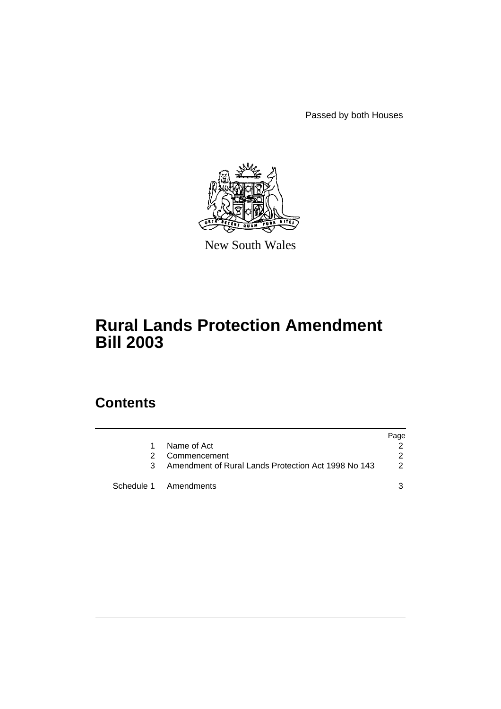Passed by both Houses



New South Wales

# **Rural Lands Protection Amendment Bill 2003**

# **Contents**

|    |                                                     | Page          |
|----|-----------------------------------------------------|---------------|
|    | Name of Act                                         |               |
| 2. | Commencement                                        | 2             |
| 3  | Amendment of Rural Lands Protection Act 1998 No 143 | $\mathcal{P}$ |
|    | Schedule 1 Amendments                               |               |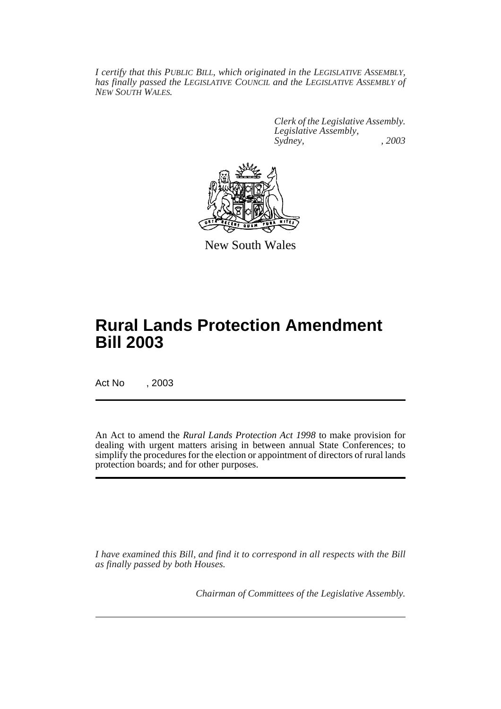*I certify that this PUBLIC BILL, which originated in the LEGISLATIVE ASSEMBLY, has finally passed the LEGISLATIVE COUNCIL and the LEGISLATIVE ASSEMBLY of NEW SOUTH WALES.*

> *Clerk of the Legislative Assembly. Legislative Assembly, Sydney, , 2003*



New South Wales

# **Rural Lands Protection Amendment Bill 2003**

Act No , 2003

An Act to amend the *Rural Lands Protection Act 1998* to make provision for dealing with urgent matters arising in between annual State Conferences; to simplify the procedures for the election or appointment of directors of rural lands protection boards; and for other purposes.

*I have examined this Bill, and find it to correspond in all respects with the Bill as finally passed by both Houses.*

*Chairman of Committees of the Legislative Assembly.*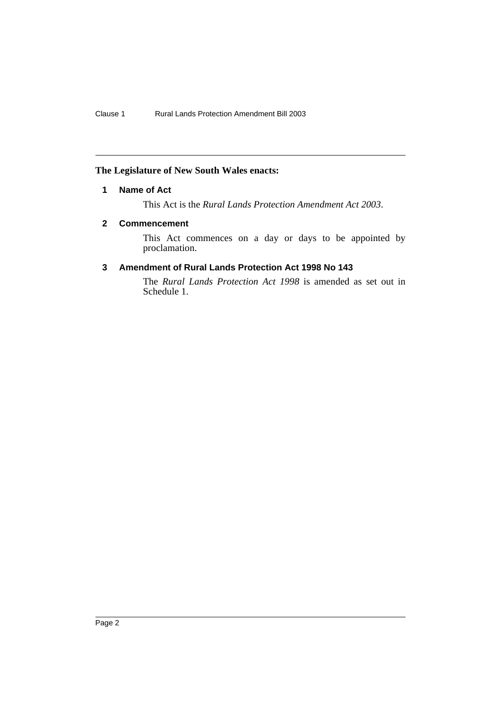### <span id="page-2-0"></span>**The Legislature of New South Wales enacts:**

## **1 Name of Act**

This Act is the *Rural Lands Protection Amendment Act 2003*.

#### <span id="page-2-1"></span>**2 Commencement**

This Act commences on a day or days to be appointed by proclamation.

# <span id="page-2-2"></span>**3 Amendment of Rural Lands Protection Act 1998 No 143**

The *Rural Lands Protection Act 1998* is amended as set out in Schedule 1.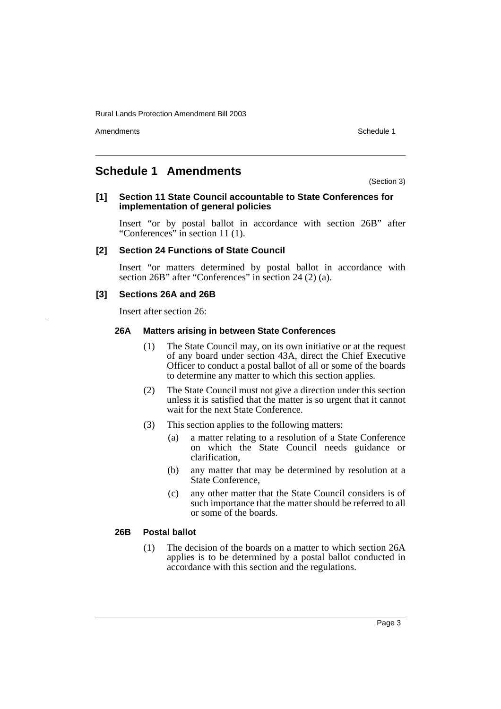Amendments **Schedule 1** and the set of the set of the set of the set of the set of the set of the set of the set of the set of the set of the set of the set of the set of the set of the set of the set of the set of the set

# <span id="page-3-0"></span>**Schedule 1 Amendments**

(Section 3)

#### **[1] Section 11 State Council accountable to State Conferences for implementation of general policies**

Insert "or by postal ballot in accordance with section 26B" after "Conferences" in section 11 (1).

#### **[2] Section 24 Functions of State Council**

Insert "or matters determined by postal ballot in accordance with section 26B" after "Conferences" in section 24 (2) (a).

#### **[3] Sections 26A and 26B**

Insert after section 26:

#### **26A Matters arising in between State Conferences**

- (1) The State Council may, on its own initiative or at the request of any board under section 43A, direct the Chief Executive Officer to conduct a postal ballot of all or some of the boards to determine any matter to which this section applies.
- (2) The State Council must not give a direction under this section unless it is satisfied that the matter is so urgent that it cannot wait for the next State Conference.
- (3) This section applies to the following matters:
	- (a) a matter relating to a resolution of a State Conference on which the State Council needs guidance or clarification,
	- (b) any matter that may be determined by resolution at a State Conference,
	- (c) any other matter that the State Council considers is of such importance that the matter should be referred to all or some of the boards.

#### **26B Postal ballot**

(1) The decision of the boards on a matter to which section 26A applies is to be determined by a postal ballot conducted in accordance with this section and the regulations.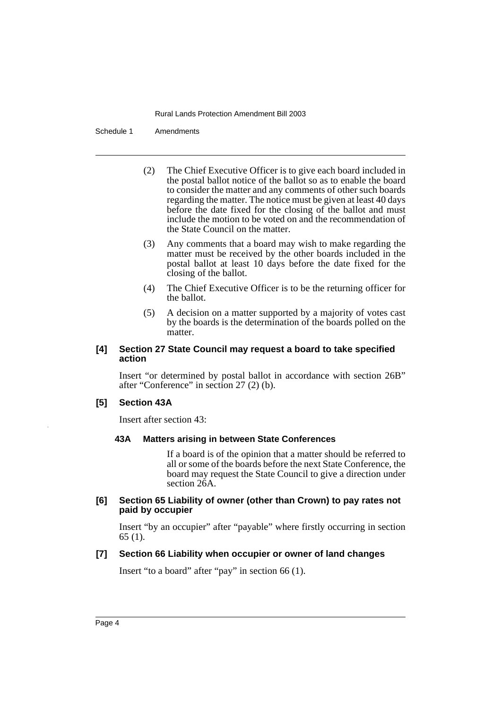Schedule 1 Amendments

- (2) The Chief Executive Officer is to give each board included in the postal ballot notice of the ballot so as to enable the board to consider the matter and any comments of other such boards regarding the matter. The notice must be given at least 40 days before the date fixed for the closing of the ballot and must include the motion to be voted on and the recommendation of the State Council on the matter.
- (3) Any comments that a board may wish to make regarding the matter must be received by the other boards included in the postal ballot at least 10 days before the date fixed for the closing of the ballot.
- (4) The Chief Executive Officer is to be the returning officer for the ballot.
- (5) A decision on a matter supported by a majority of votes cast by the boards is the determination of the boards polled on the matter.

#### **[4] Section 27 State Council may request a board to take specified action**

Insert "or determined by postal ballot in accordance with section 26B" after "Conference" in section 27 (2) (b).

#### **[5] Section 43A**

Insert after section 43:

#### **43A Matters arising in between State Conferences**

If a board is of the opinion that a matter should be referred to all or some of the boards before the next State Conference, the board may request the State Council to give a direction under section 26A.

#### **[6] Section 65 Liability of owner (other than Crown) to pay rates not paid by occupier**

Insert "by an occupier" after "payable" where firstly occurring in section 65 (1).

#### **[7] Section 66 Liability when occupier or owner of land changes**

Insert "to a board" after "pay" in section 66 (1).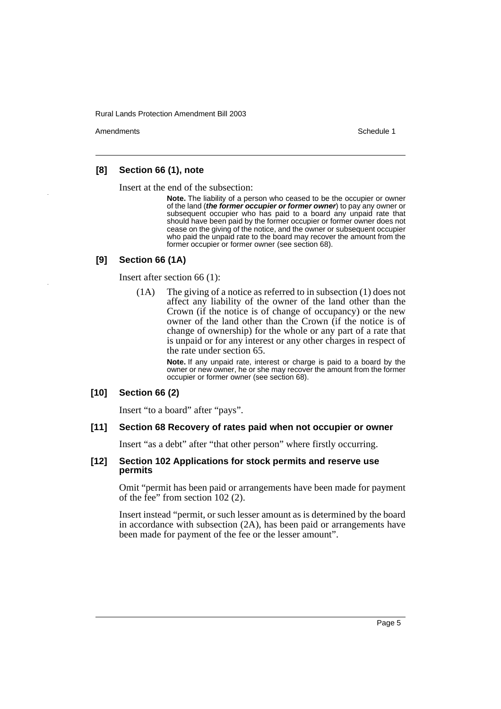Amendments **Schedule 1** and the set of the set of the set of the set of the set of the set of the set of the set of the set of the set of the set of the set of the set of the set of the set of the set of the set of the set

#### **[8] Section 66 (1), note**

Insert at the end of the subsection:

**Note.** The liability of a person who ceased to be the occupier or owner of the land (**the former occupier or former owner**) to pay any owner or subsequent occupier who has paid to a board any unpaid rate that should have been paid by the former occupier or former owner does not cease on the giving of the notice, and the owner or subsequent occupier who paid the unpaid rate to the board may recover the amount from the former occupier or former owner (see section 68).

#### **[9] Section 66 (1A)**

Insert after section 66 (1):

(1A) The giving of a notice as referred to in subsection (1) does not affect any liability of the owner of the land other than the Crown (if the notice is of change of occupancy) or the new owner of the land other than the Crown (if the notice is of change of ownership) for the whole or any part of a rate that is unpaid or for any interest or any other charges in respect of the rate under section 65.

> **Note.** If any unpaid rate, interest or charge is paid to a board by the owner or new owner, he or she may recover the amount from the former occupier or former owner (see section 68).

#### **[10] Section 66 (2)**

Insert "to a board" after "pays".

#### **[11] Section 68 Recovery of rates paid when not occupier or owner**

Insert "as a debt" after "that other person" where firstly occurring.

#### **[12] Section 102 Applications for stock permits and reserve use permits**

Omit "permit has been paid or arrangements have been made for payment of the fee" from section 102 (2).

Insert instead "permit, or such lesser amount as is determined by the board in accordance with subsection (2A), has been paid or arrangements have been made for payment of the fee or the lesser amount".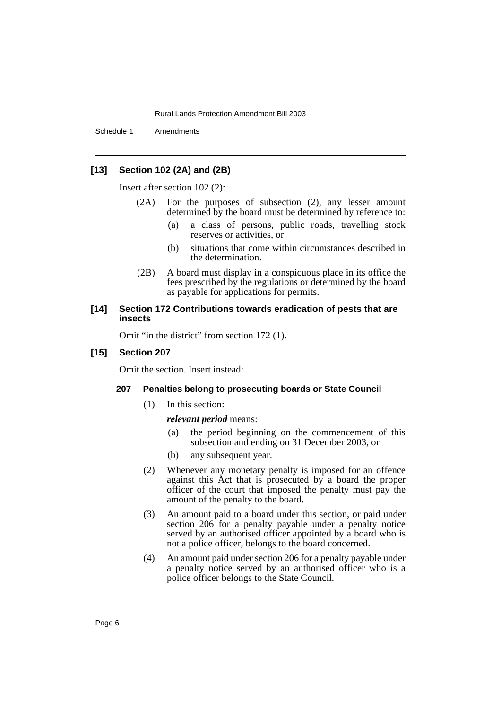Schedule 1 Amendments

### **[13] Section 102 (2A) and (2B)**

Insert after section 102 (2):

- (2A) For the purposes of subsection (2), any lesser amount determined by the board must be determined by reference to:
	- (a) a class of persons, public roads, travelling stock reserves or activities, or
	- (b) situations that come within circumstances described in the determination.
- (2B) A board must display in a conspicuous place in its office the fees prescribed by the regulations or determined by the board as payable for applications for permits.

#### **[14] Section 172 Contributions towards eradication of pests that are insects**

Omit "in the district" from section 172 (1).

#### **[15] Section 207**

Omit the section. Insert instead:

#### **207 Penalties belong to prosecuting boards or State Council**

(1) In this section:

#### *relevant period* means:

- (a) the period beginning on the commencement of this subsection and ending on 31 December 2003, or
- (b) any subsequent year.
- (2) Whenever any monetary penalty is imposed for an offence against this Act that is prosecuted by a board the proper officer of the court that imposed the penalty must pay the amount of the penalty to the board.
- (3) An amount paid to a board under this section, or paid under section 206 for a penalty payable under a penalty notice served by an authorised officer appointed by a board who is not a police officer, belongs to the board concerned.
- (4) An amount paid under section 206 for a penalty payable under a penalty notice served by an authorised officer who is a police officer belongs to the State Council.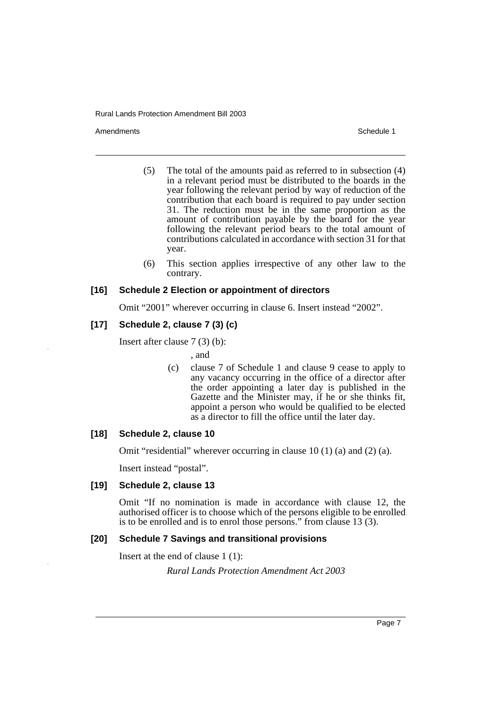Amendments **Schedule 1** and the set of the set of the set of the set of the set of the set of the set of the set of the set of the set of the set of the set of the set of the set of the set of the set of the set of the set

- (5) The total of the amounts paid as referred to in subsection (4) in a relevant period must be distributed to the boards in the year following the relevant period by way of reduction of the contribution that each board is required to pay under section 31. The reduction must be in the same proportion as the amount of contribution payable by the board for the year following the relevant period bears to the total amount of contributions calculated in accordance with section 31 for that year.
- (6) This section applies irrespective of any other law to the contrary.

#### **[16] Schedule 2 Election or appointment of directors**

Omit "2001" wherever occurring in clause 6. Insert instead "2002".

### **[17] Schedule 2, clause 7 (3) (c)**

Insert after clause 7 (3) (b):

, and

(c) clause 7 of Schedule 1 and clause 9 cease to apply to any vacancy occurring in the office of a director after the order appointing a later day is published in the Gazette and the Minister may, if he or she thinks fit, appoint a person who would be qualified to be elected as a director to fill the office until the later day.

#### **[18] Schedule 2, clause 10**

Omit "residential" wherever occurring in clause 10 (1) (a) and (2) (a).

Insert instead "postal".

#### **[19] Schedule 2, clause 13**

Omit "If no nomination is made in accordance with clause 12, the authorised officer is to choose which of the persons eligible to be enrolled is to be enrolled and is to enrol those persons." from clause 13 (3).

#### **[20] Schedule 7 Savings and transitional provisions**

Insert at the end of clause 1 (1):

*Rural Lands Protection Amendment Act 2003*